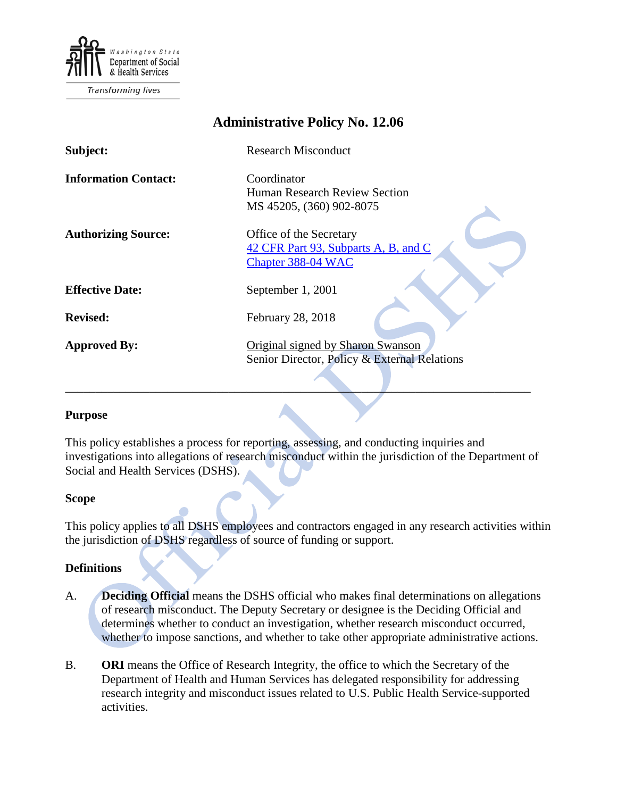

Transforming lives

| <b>Administrative Policy No. 12.06</b> |                                              |
|----------------------------------------|----------------------------------------------|
| Subject:                               | <b>Research Misconduct</b>                   |
| <b>Information Contact:</b>            | Coordinator                                  |
|                                        | Human Research Review Section                |
|                                        | MS 45205, (360) 902-8075                     |
|                                        |                                              |
| <b>Authorizing Source:</b>             | Office of the Secretary                      |
|                                        | 42 CFR Part 93, Subparts A, B, and C         |
|                                        | Chapter 388-04 WAC                           |
|                                        |                                              |
| <b>Effective Date:</b>                 | September 1, 2001                            |
|                                        |                                              |
| <b>Revised:</b>                        | February 28, 2018                            |
|                                        |                                              |
| <b>Approved By:</b>                    | Original signed by Sharon Swanson            |
|                                        | Senior Director, Policy & External Relations |
|                                        |                                              |
|                                        |                                              |

#### **Purpose**

This policy establishes a process for reporting, assessing, and conducting inquiries and investigations into allegations of research misconduct within the jurisdiction of the Department of Social and Health Services (DSHS).

#### **Scope**

This policy applies to all DSHS employees and contractors engaged in any research activities within the jurisdiction of DSHS regardless of source of funding or support.

#### **Definitions**

- A. **Deciding Official** means the DSHS official who makes final determinations on allegations of research misconduct. The Deputy Secretary or designee is the Deciding Official and determines whether to conduct an investigation, whether research misconduct occurred, whether to impose sanctions, and whether to take other appropriate administrative actions.
- B. **ORI** means the Office of Research Integrity, the office to which the Secretary of the Department of Health and Human Services has delegated responsibility for addressing research integrity and misconduct issues related to U.S. Public Health Service-supported activities.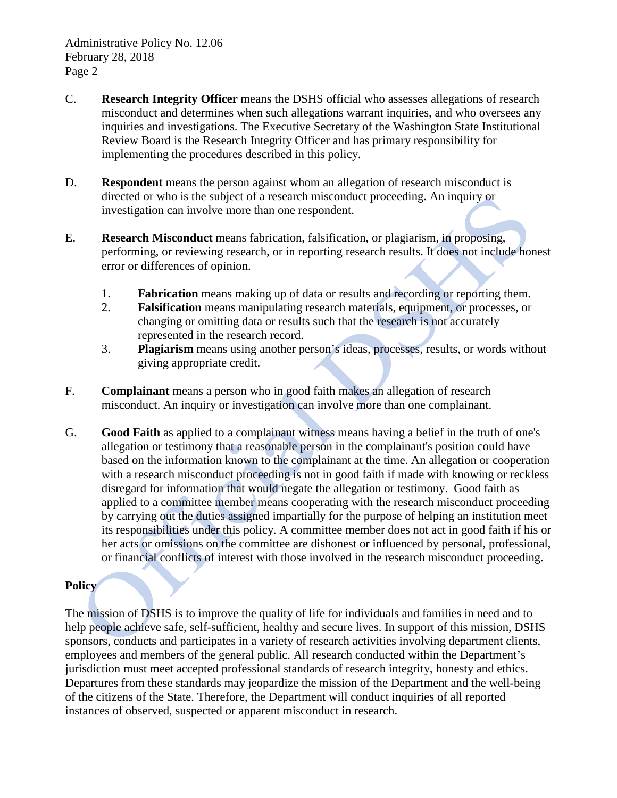- C. **Research Integrity Officer** means the DSHS official who assesses allegations of research misconduct and determines when such allegations warrant inquiries, and who oversees any inquiries and investigations. The Executive Secretary of the Washington State Institutional Review Board is the Research Integrity Officer and has primary responsibility for implementing the procedures described in this policy.
- D. **Respondent** means the person against whom an allegation of research misconduct is directed or who is the subject of a research misconduct proceeding. An inquiry or investigation can involve more than one respondent.
- E. **Research Misconduct** means fabrication, falsification, or plagiarism, in proposing, performing, or reviewing research, or in reporting research results. It does not include honest error or differences of opinion.
	- 1. **Fabrication** means making up of data or results and recording or reporting them.
	- 2. **Falsification** means manipulating research materials, equipment, or processes, or changing or omitting data or results such that the research is not accurately represented in the research record.
	- 3. **Plagiarism** means using another person's ideas, processes, results, or words without giving appropriate credit.
- F. **Complainant** means a person who in good faith makes an allegation of research misconduct. An inquiry or investigation can involve more than one complainant.
- G. **Good Faith** as applied to a complainant witness means having a belief in the truth of one's allegation or testimony that a reasonable person in the complainant's position could have based on the information known to the complainant at the time. An allegation or cooperation with a research misconduct proceeding is not in good faith if made with knowing or reckless disregard for information that would negate the allegation or testimony. Good faith as applied to a committee member means cooperating with the research misconduct proceeding by carrying out the duties assigned impartially for the purpose of helping an institution meet its responsibilities under this policy. A committee member does not act in good faith if his or her acts or omissions on the committee are dishonest or influenced by personal, professional, or financial conflicts of interest with those involved in the research misconduct proceeding.

# **Policy**

The mission of DSHS is to improve the quality of life for individuals and families in need and to help people achieve safe, self-sufficient, healthy and secure lives. In support of this mission, DSHS sponsors, conducts and participates in a variety of research activities involving department clients, employees and members of the general public. All research conducted within the Department's jurisdiction must meet accepted professional standards of research integrity, honesty and ethics. Departures from these standards may jeopardize the mission of the Department and the well-being of the citizens of the State. Therefore, the Department will conduct inquiries of all reported instances of observed, suspected or apparent misconduct in research.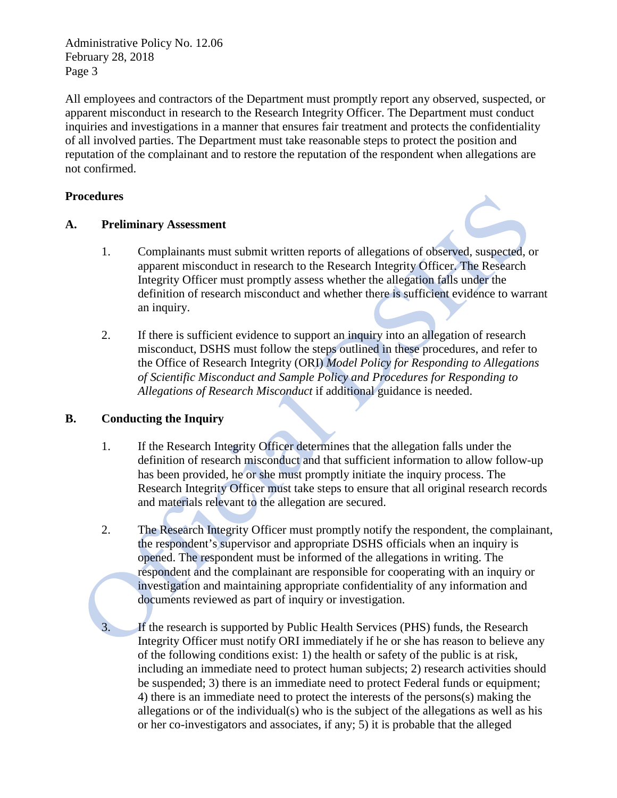Administrative Policy No. 12.06 February 28, 2018 Page 3

All employees and contractors of the Department must promptly report any observed, suspected, or apparent misconduct in research to the Research Integrity Officer. The Department must conduct inquiries and investigations in a manner that ensures fair treatment and protects the confidentiality of all involved parties. The Department must take reasonable steps to protect the position and reputation of the complainant and to restore the reputation of the respondent when allegations are not confirmed.

### **Procedures**

## **A. Preliminary Assessment**

- 1. Complainants must submit written reports of allegations of observed, suspected, or apparent misconduct in research to the Research Integrity Officer. The Research Integrity Officer must promptly assess whether the allegation falls under the definition of research misconduct and whether there is sufficient evidence to warrant an inquiry.
- 2. If there is sufficient evidence to support an inquiry into an allegation of research misconduct, DSHS must follow the steps outlined in these procedures, and refer to the Office of Research Integrity (ORI) *Model Policy for Responding to Allegations of Scientific Misconduct and Sample Policy and Procedures for Responding to Allegations of Research Misconduct* if additional guidance is needed.

# **B. Conducting the Inquiry**

- 1. If the Research Integrity Officer determines that the allegation falls under the definition of research misconduct and that sufficient information to allow follow-up has been provided, he or she must promptly initiate the inquiry process. The Research Integrity Officer must take steps to ensure that all original research records and materials relevant to the allegation are secured.
- 2. The Research Integrity Officer must promptly notify the respondent, the complainant, the respondent's supervisor and appropriate DSHS officials when an inquiry is opened. The respondent must be informed of the allegations in writing. The respondent and the complainant are responsible for cooperating with an inquiry or investigation and maintaining appropriate confidentiality of any information and documents reviewed as part of inquiry or investigation.

If the research is supported by Public Health Services (PHS) funds, the Research Integrity Officer must notify ORI immediately if he or she has reason to believe any of the following conditions exist: 1) the health or safety of the public is at risk, including an immediate need to protect human subjects; 2) research activities should be suspended; 3) there is an immediate need to protect Federal funds or equipment; 4) there is an immediate need to protect the interests of the persons(s) making the allegations or of the individual(s) who is the subject of the allegations as well as his or her co-investigators and associates, if any; 5) it is probable that the alleged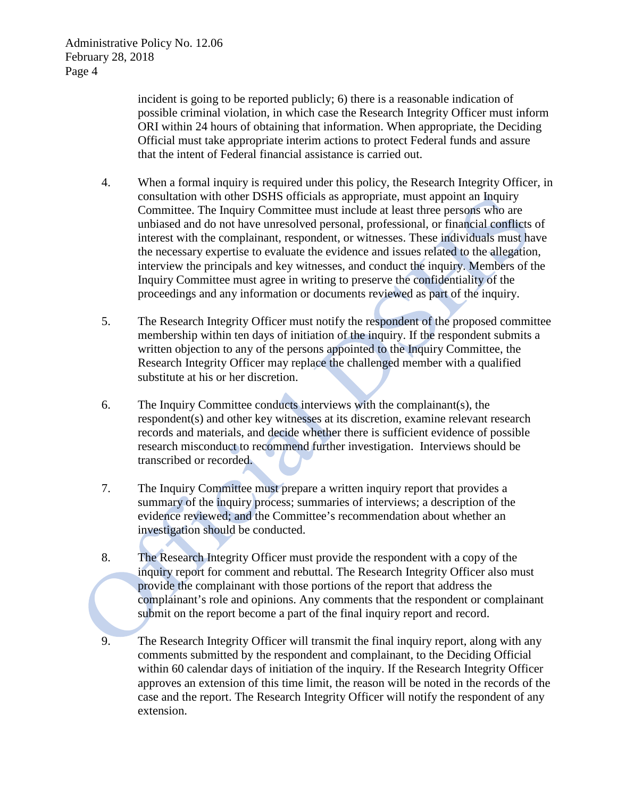incident is going to be reported publicly; 6) there is a reasonable indication of possible criminal violation, in which case the Research Integrity Officer must inform ORI within 24 hours of obtaining that information. When appropriate, the Deciding Official must take appropriate interim actions to protect Federal funds and assure that the intent of Federal financial assistance is carried out.

- 4. When a formal inquiry is required under this policy, the Research Integrity Officer, in consultation with other DSHS officials as appropriate, must appoint an Inquiry Committee. The Inquiry Committee must include at least three persons who are unbiased and do not have unresolved personal, professional, or financial conflicts of interest with the complainant, respondent, or witnesses. These individuals must have the necessary expertise to evaluate the evidence and issues related to the allegation, interview the principals and key witnesses, and conduct the inquiry. Members of the Inquiry Committee must agree in writing to preserve the confidentiality of the proceedings and any information or documents reviewed as part of the inquiry.
- 5. The Research Integrity Officer must notify the respondent of the proposed committee membership within ten days of initiation of the inquiry. If the respondent submits a written objection to any of the persons appointed to the Inquiry Committee, the Research Integrity Officer may replace the challenged member with a qualified substitute at his or her discretion.
- 6. The Inquiry Committee conducts interviews with the complainant(s), the respondent(s) and other key witnesses at its discretion, examine relevant research records and materials, and decide whether there is sufficient evidence of possible research misconduct to recommend further investigation. Interviews should be transcribed or recorded.
- 7. The Inquiry Committee must prepare a written inquiry report that provides a summary of the inquiry process; summaries of interviews; a description of the evidence reviewed; and the Committee's recommendation about whether an investigation should be conducted.
- 8. The Research Integrity Officer must provide the respondent with a copy of the inquiry report for comment and rebuttal. The Research Integrity Officer also must provide the complainant with those portions of the report that address the complainant's role and opinions. Any comments that the respondent or complainant submit on the report become a part of the final inquiry report and record.
- 9. The Research Integrity Officer will transmit the final inquiry report, along with any comments submitted by the respondent and complainant, to the Deciding Official within 60 calendar days of initiation of the inquiry. If the Research Integrity Officer approves an extension of this time limit, the reason will be noted in the records of the case and the report. The Research Integrity Officer will notify the respondent of any extension.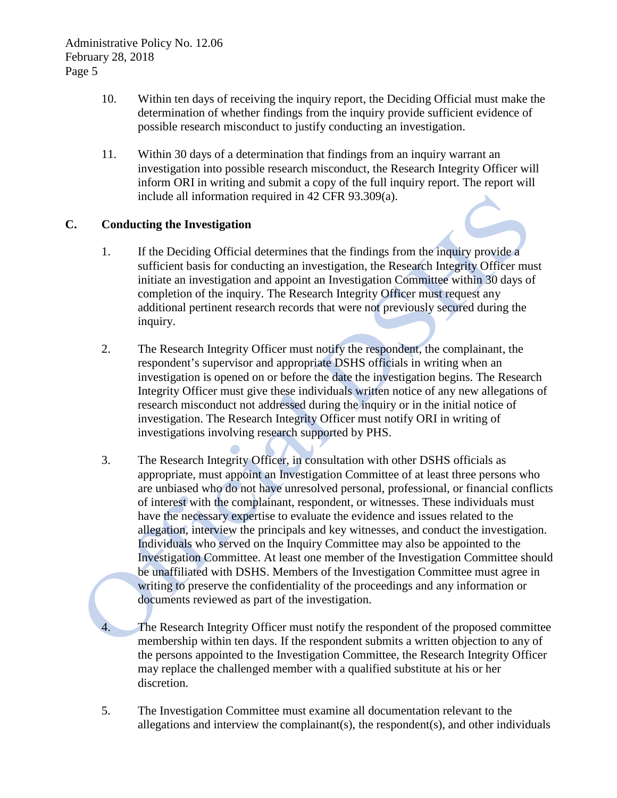- 10. Within ten days of receiving the inquiry report, the Deciding Official must make the determination of whether findings from the inquiry provide sufficient evidence of possible research misconduct to justify conducting an investigation.
- 11. Within 30 days of a determination that findings from an inquiry warrant an investigation into possible research misconduct, the Research Integrity Officer will inform ORI in writing and submit a copy of the full inquiry report. The report will include all information required in 42 CFR 93.309(a).

## **C. Conducting the Investigation**

- 1. If the Deciding Official determines that the findings from the inquiry provide a sufficient basis for conducting an investigation, the Research Integrity Officer must initiate an investigation and appoint an Investigation Committee within 30 days of completion of the inquiry. The Research Integrity Officer must request any additional pertinent research records that were not previously secured during the inquiry.
- 2. The Research Integrity Officer must notify the respondent, the complainant, the respondent's supervisor and appropriate DSHS officials in writing when an investigation is opened on or before the date the investigation begins. The Research Integrity Officer must give these individuals written notice of any new allegations of research misconduct not addressed during the inquiry or in the initial notice of investigation. The Research Integrity Officer must notify ORI in writing of investigations involving research supported by PHS.
- 3. The Research Integrity Officer, in consultation with other DSHS officials as appropriate, must appoint an Investigation Committee of at least three persons who are unbiased who do not have unresolved personal, professional, or financial conflicts of interest with the complainant, respondent, or witnesses. These individuals must have the necessary expertise to evaluate the evidence and issues related to the allegation, interview the principals and key witnesses, and conduct the investigation. Individuals who served on the Inquiry Committee may also be appointed to the Investigation Committee. At least one member of the Investigation Committee should be unaffiliated with DSHS. Members of the Investigation Committee must agree in writing to preserve the confidentiality of the proceedings and any information or documents reviewed as part of the investigation.

The Research Integrity Officer must notify the respondent of the proposed committee membership within ten days. If the respondent submits a written objection to any of the persons appointed to the Investigation Committee, the Research Integrity Officer may replace the challenged member with a qualified substitute at his or her discretion.

5. The Investigation Committee must examine all documentation relevant to the allegations and interview the complainant(s), the respondent(s), and other individuals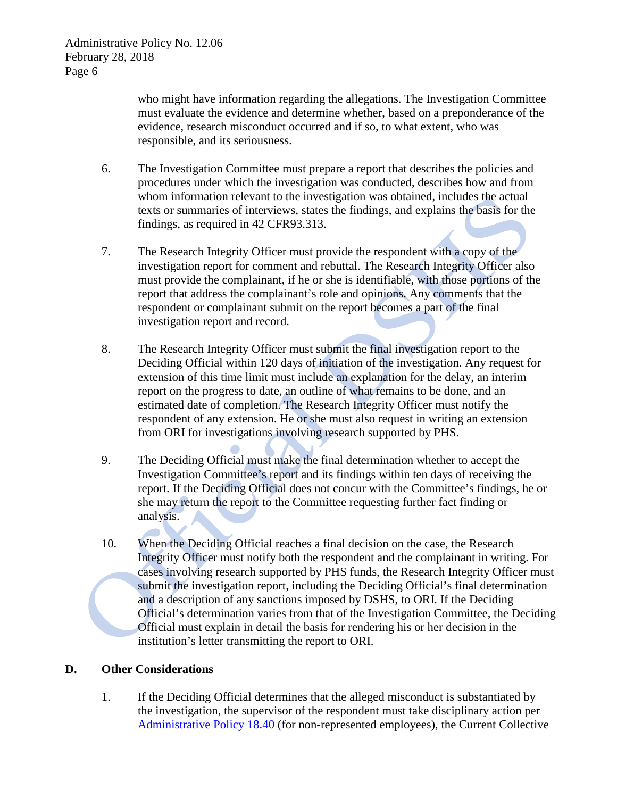who might have information regarding the allegations. The Investigation Committee must evaluate the evidence and determine whether, based on a preponderance of the evidence, research misconduct occurred and if so, to what extent, who was responsible, and its seriousness.

- 6. The Investigation Committee must prepare a report that describes the policies and procedures under which the investigation was conducted, describes how and from whom information relevant to the investigation was obtained, includes the actual texts or summaries of interviews, states the findings, and explains the basis for the findings, as required in 42 CFR93.313.
- 7. The Research Integrity Officer must provide the respondent with a copy of the investigation report for comment and rebuttal. The Research Integrity Officer also must provide the complainant, if he or she is identifiable, with those portions of the report that address the complainant's role and opinions. Any comments that the respondent or complainant submit on the report becomes a part of the final investigation report and record.
- 8. The Research Integrity Officer must submit the final investigation report to the Deciding Official within 120 days of initiation of the investigation. Any request for extension of this time limit must include an explanation for the delay, an interim report on the progress to date, an outline of what remains to be done, and an estimated date of completion. The Research Integrity Officer must notify the respondent of any extension. He or she must also request in writing an extension from ORI for investigations involving research supported by PHS.
- 9. The Deciding Official must make the final determination whether to accept the Investigation Committee's report and its findings within ten days of receiving the report. If the Deciding Official does not concur with the Committee's findings, he or she may return the report to the Committee requesting further fact finding or analysis.
- 10. When the Deciding Official reaches a final decision on the case, the Research Integrity Officer must notify both the respondent and the complainant in writing. For cases involving research supported by PHS funds, the Research Integrity Officer must submit the investigation report, including the Deciding Official's final determination and a description of any sanctions imposed by DSHS, to ORI. If the Deciding Official's determination varies from that of the Investigation Committee, the Deciding Official must explain in detail the basis for rendering his or her decision in the institution's letter transmitting the report to ORI.

### **D. Other Considerations**

1. If the Deciding Official determines that the alleged misconduct is substantiated by the investigation, the supervisor of the respondent must take disciplinary action per [Administrative Policy 18.40](http://one.dshs.wa.lcl/Policies/Administrative/DSHS-AP-18-40.pdf) (for non-represented employees), the Current Collective